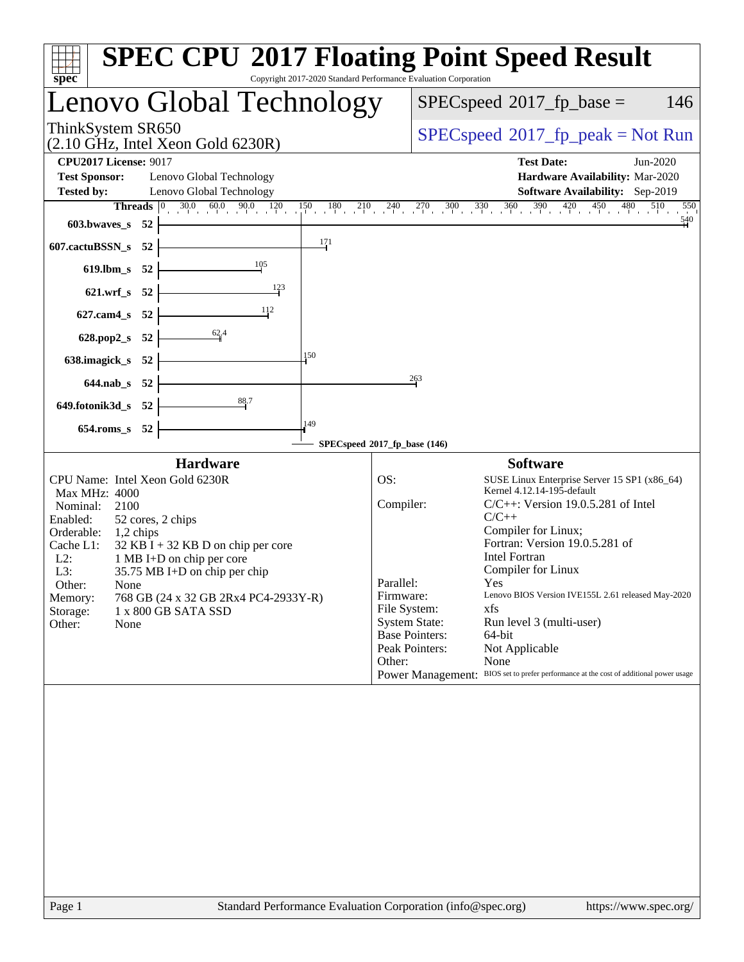| Copyright 2017-2020 Standard Performance Evaluation Corporation<br>spec <sup>®</sup>                                                                                                                                                                                                                                                                                                                                                                                                                                                                              |                                                                                                                                                                                                                                                                                                                                                                                                                                                                                                                                                                                    |  |  |  |  |
|-------------------------------------------------------------------------------------------------------------------------------------------------------------------------------------------------------------------------------------------------------------------------------------------------------------------------------------------------------------------------------------------------------------------------------------------------------------------------------------------------------------------------------------------------------------------|------------------------------------------------------------------------------------------------------------------------------------------------------------------------------------------------------------------------------------------------------------------------------------------------------------------------------------------------------------------------------------------------------------------------------------------------------------------------------------------------------------------------------------------------------------------------------------|--|--|--|--|
| Lenovo Global Technology                                                                                                                                                                                                                                                                                                                                                                                                                                                                                                                                          | $SPEC speed^{\circ}2017$ _fp_base =<br>146                                                                                                                                                                                                                                                                                                                                                                                                                                                                                                                                         |  |  |  |  |
| ThinkSystem SR650<br>$(2.10 \text{ GHz}, \text{Intel Xeon Gold } 6230\text{R})$                                                                                                                                                                                                                                                                                                                                                                                                                                                                                   | $SPEC speed^{\circ}2017$ [p_peak = Not Run                                                                                                                                                                                                                                                                                                                                                                                                                                                                                                                                         |  |  |  |  |
| <b>CPU2017 License: 9017</b><br><b>Test Sponsor:</b><br>Lenovo Global Technology<br><b>Tested by:</b><br>Lenovo Global Technology                                                                                                                                                                                                                                                                                                                                                                                                                                 | <b>Test Date:</b><br>Jun-2020<br>Hardware Availability: Mar-2020<br>Software Availability: Sep-2019                                                                                                                                                                                                                                                                                                                                                                                                                                                                                |  |  |  |  |
| <b>Threads</b> $\begin{bmatrix} 0 & 30.0 & 60.0 & 90.0 & 120 & 150 & 180 & 210 & 240 & 270 & 300 & 330 & 360 & 390 & 420 & 450 & 51 \end{bmatrix}$<br>603.bwaves_s 52<br>171<br>607.cactuBSSN_s 52<br>619.lbm_s 52                                                                                                                                                                                                                                                                                                                                                | 510<br>550<br>540                                                                                                                                                                                                                                                                                                                                                                                                                                                                                                                                                                  |  |  |  |  |
| $\frac{123}{2}$<br>621.wrf_s 52<br>627.cam4_s 52                                                                                                                                                                                                                                                                                                                                                                                                                                                                                                                  |                                                                                                                                                                                                                                                                                                                                                                                                                                                                                                                                                                                    |  |  |  |  |
| $\frac{62}{4}$<br>628.pop2_s 52<br>150<br>638.imagick_s 52<br>644.nab_s 52                                                                                                                                                                                                                                                                                                                                                                                                                                                                                        | 263                                                                                                                                                                                                                                                                                                                                                                                                                                                                                                                                                                                |  |  |  |  |
| 88.7<br>649.fotonik3d_s 52<br>149<br>654.roms_s 52<br>SPECspeed®2017_fp_base (146)                                                                                                                                                                                                                                                                                                                                                                                                                                                                                |                                                                                                                                                                                                                                                                                                                                                                                                                                                                                                                                                                                    |  |  |  |  |
| <b>Hardware</b><br>CPU Name: Intel Xeon Gold 6230R<br>OS:<br>Max MHz: 4000<br>Compiler:<br>Nominal:<br>2100<br>Enabled:<br>52 cores, 2 chips<br>Orderable: 1,2 chips<br>Cache L1:<br>$32$ KB I + 32 KB D on chip per core<br>$L2$ :<br>1 MB I+D on chip per core<br>L3:<br>$35.75$ MB I+D on chip per chip<br>Parallel:<br>Other:<br>None<br>Firmware:<br>768 GB (24 x 32 GB 2Rx4 PC4-2933Y-R)<br>Memory:<br>File System:<br>Storage:<br>1 x 800 GB SATA SSD<br>Other:<br>None<br>Other:<br>Standard Performance Evaluation Corporation (info@spec.org)<br>Page 1 | <b>Software</b><br>SUSE Linux Enterprise Server 15 SP1 (x86_64)<br>Kernel 4.12.14-195-default<br>$C/C++$ : Version 19.0.5.281 of Intel<br>$C/C++$<br>Compiler for Linux;<br>Fortran: Version 19.0.5.281 of<br><b>Intel Fortran</b><br>Compiler for Linux<br>Yes<br>Lenovo BIOS Version IVE155L 2.61 released May-2020<br>xfs<br><b>System State:</b><br>Run level 3 (multi-user)<br><b>Base Pointers:</b><br>64-bit<br>Peak Pointers:<br>Not Applicable<br>None<br>Power Management: BIOS set to prefer performance at the cost of additional power usage<br>https://www.spec.org/ |  |  |  |  |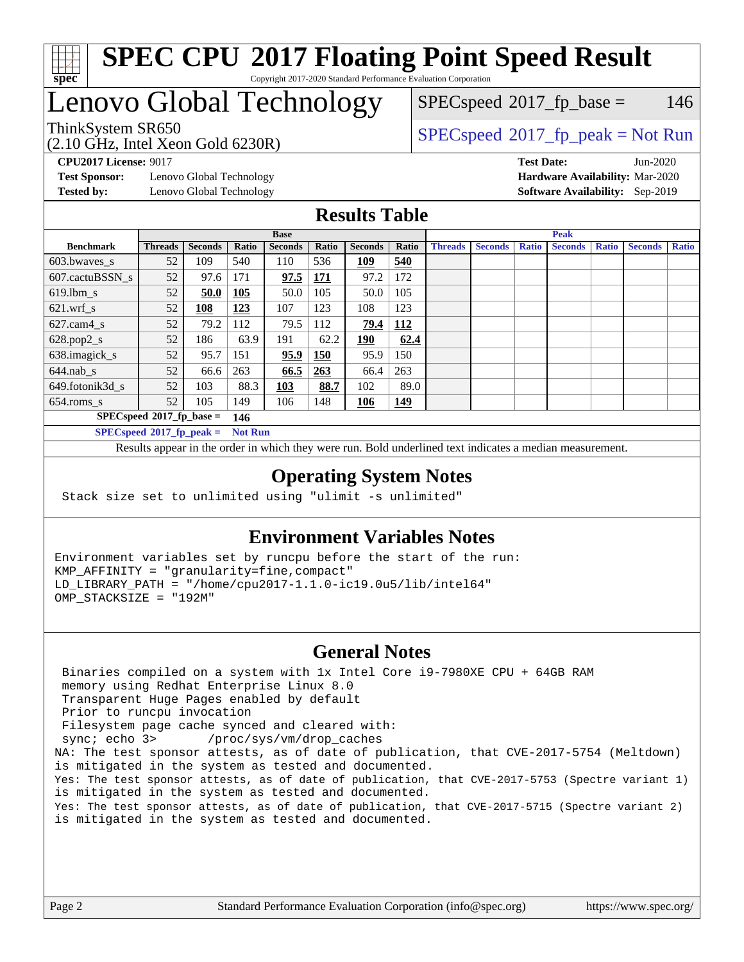

# Lenovo Global Technology

(2.10 GHz, Intel Xeon Gold 6230R)

 $SPECspeed^{\circledcirc}2017_fp\_base = 146$  $SPECspeed^{\circledcirc}2017_fp\_base = 146$ 

ThinkSystem SR650<br>  $(2.10 \text{ GHz. Intel Yoon Gold } 6230P)$  [SPECspeed](http://www.spec.org/auto/cpu2017/Docs/result-fields.html#SPECspeed2017fppeak)<sup>®</sup>[2017\\_fp\\_peak = N](http://www.spec.org/auto/cpu2017/Docs/result-fields.html#SPECspeed2017fppeak)ot Run

**[Test Sponsor:](http://www.spec.org/auto/cpu2017/Docs/result-fields.html#TestSponsor)** Lenovo Global Technology **[Hardware Availability:](http://www.spec.org/auto/cpu2017/Docs/result-fields.html#HardwareAvailability)** Mar-2020 **[Tested by:](http://www.spec.org/auto/cpu2017/Docs/result-fields.html#Testedby)** Lenovo Global Technology **[Software Availability:](http://www.spec.org/auto/cpu2017/Docs/result-fields.html#SoftwareAvailability)** Sep-2019

**[CPU2017 License:](http://www.spec.org/auto/cpu2017/Docs/result-fields.html#CPU2017License)** 9017 **[Test Date:](http://www.spec.org/auto/cpu2017/Docs/result-fields.html#TestDate)** Jun-2020

### **[Results Table](http://www.spec.org/auto/cpu2017/Docs/result-fields.html#ResultsTable)**

|                                               | <b>Base</b>    |                |       |                |            | <b>Peak</b>    |            |                |                |              |                |              |                |              |
|-----------------------------------------------|----------------|----------------|-------|----------------|------------|----------------|------------|----------------|----------------|--------------|----------------|--------------|----------------|--------------|
| <b>Benchmark</b>                              | <b>Threads</b> | <b>Seconds</b> | Ratio | <b>Seconds</b> | Ratio      | <b>Seconds</b> | Ratio      | <b>Threads</b> | <b>Seconds</b> | <b>Ratio</b> | <b>Seconds</b> | <b>Ratio</b> | <b>Seconds</b> | <b>Ratio</b> |
| 603.bwayes s                                  | 52             | 109            | 540   | 110            | 536        | 109            | 540        |                |                |              |                |              |                |              |
| 607.cactuBSSN s                               | 52             | 97.6           | 171   | 97.5           | <b>171</b> | 97.2           | 172        |                |                |              |                |              |                |              |
| $619.1$ bm s                                  | 52             | 50.0           | 105   | 50.0           | 105        | 50.0           | 105        |                |                |              |                |              |                |              |
| $621$ .wrf s                                  | 52             | 108            | 123   | 107            | 123        | 108            | 123        |                |                |              |                |              |                |              |
| $627.cam4_s$                                  | 52             | 79.2           | 112   | 79.5           | 112        | 79.4           | 112        |                |                |              |                |              |                |              |
| $628.pop2_s$                                  | 52             | 186            | 63.9  | 191            | 62.2       | <u>190</u>     | 62.4       |                |                |              |                |              |                |              |
| 638.imagick_s                                 | 52             | 95.7           | 151   | 95.9           | 150        | 95.9           | 150        |                |                |              |                |              |                |              |
| $644$ .nab s                                  | 52             | 66.6           | 263   | 66.5           | 263        | 66.4           | 263        |                |                |              |                |              |                |              |
| 649.fotonik3d s                               | 52             | 103            | 88.3  | 103            | 88.7       | 102            | 89.0       |                |                |              |                |              |                |              |
| $654$ .roms s                                 | 52             | 105            | 149   | 106            | 148        | 106            | <u>149</u> |                |                |              |                |              |                |              |
| $SPECspeed*2017_fp\_base =$<br>146            |                |                |       |                |            |                |            |                |                |              |                |              |                |              |
| $SPECspeed*2017_fp\_peak =$<br><b>Not Run</b> |                |                |       |                |            |                |            |                |                |              |                |              |                |              |

Results appear in the [order in which they were run.](http://www.spec.org/auto/cpu2017/Docs/result-fields.html#RunOrder) Bold underlined text [indicates a median measurement](http://www.spec.org/auto/cpu2017/Docs/result-fields.html#Median).

#### **[Operating System Notes](http://www.spec.org/auto/cpu2017/Docs/result-fields.html#OperatingSystemNotes)**

Stack size set to unlimited using "ulimit -s unlimited"

#### **[Environment Variables Notes](http://www.spec.org/auto/cpu2017/Docs/result-fields.html#EnvironmentVariablesNotes)**

Environment variables set by runcpu before the start of the run: KMP\_AFFINITY = "granularity=fine,compact" LD\_LIBRARY\_PATH = "/home/cpu2017-1.1.0-ic19.0u5/lib/intel64" OMP\_STACKSIZE = "192M"

#### **[General Notes](http://www.spec.org/auto/cpu2017/Docs/result-fields.html#GeneralNotes)**

 Binaries compiled on a system with 1x Intel Core i9-7980XE CPU + 64GB RAM memory using Redhat Enterprise Linux 8.0 Transparent Huge Pages enabled by default Prior to runcpu invocation Filesystem page cache synced and cleared with: sync; echo 3> /proc/sys/vm/drop\_caches NA: The test sponsor attests, as of date of publication, that CVE-2017-5754 (Meltdown) is mitigated in the system as tested and documented. Yes: The test sponsor attests, as of date of publication, that CVE-2017-5753 (Spectre variant 1) is mitigated in the system as tested and documented. Yes: The test sponsor attests, as of date of publication, that CVE-2017-5715 (Spectre variant 2) is mitigated in the system as tested and documented.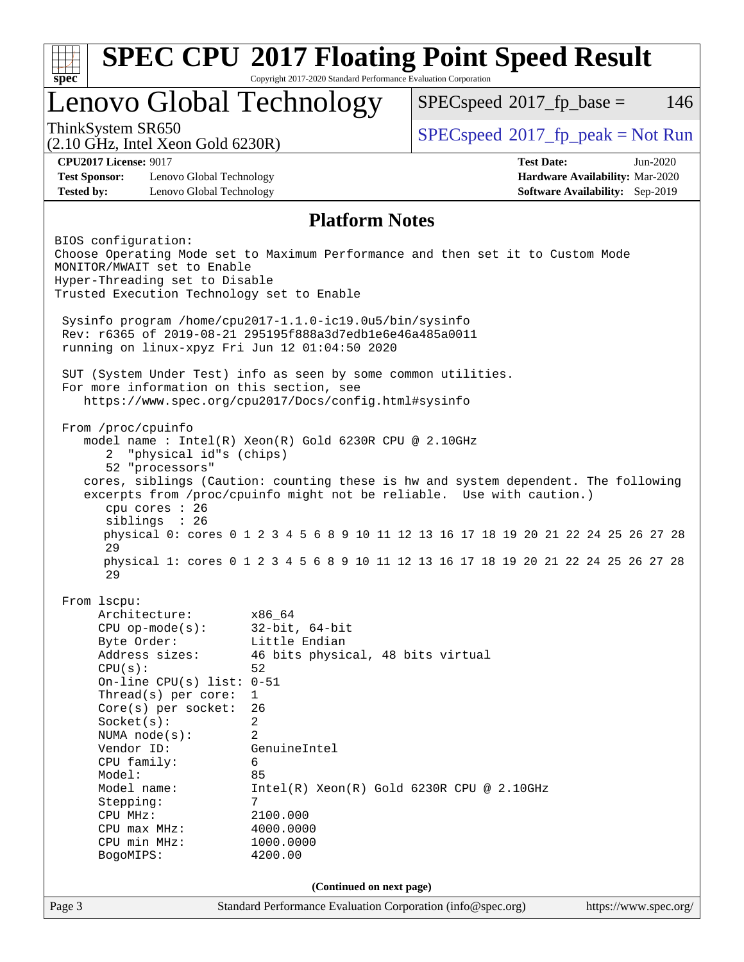| <b>SPEC CPU®2017 Floating Point Speed Result</b>                                                                                                                     |                                                             |                                                                                                                                                             |                                                                    |  |  |  |  |  |
|----------------------------------------------------------------------------------------------------------------------------------------------------------------------|-------------------------------------------------------------|-------------------------------------------------------------------------------------------------------------------------------------------------------------|--------------------------------------------------------------------|--|--|--|--|--|
| $Spec^*$<br>Copyright 2017-2020 Standard Performance Evaluation Corporation                                                                                          |                                                             |                                                                                                                                                             |                                                                    |  |  |  |  |  |
| Lenovo Global Technology                                                                                                                                             |                                                             | $SPEC speed^{\circ}2017$ _fp_base =                                                                                                                         | 146                                                                |  |  |  |  |  |
| ThinkSystem SR650<br>$(2.10 \text{ GHz}, \text{Intel Xeon Gold } 6230\text{R})$                                                                                      |                                                             | $SPEC speed^{\circ}2017\_fp\_peak = Not Run$                                                                                                                |                                                                    |  |  |  |  |  |
| <b>CPU2017 License: 9017</b>                                                                                                                                         |                                                             | <b>Test Date:</b>                                                                                                                                           | $Jun-2020$                                                         |  |  |  |  |  |
| <b>Test Sponsor:</b><br>Lenovo Global Technology<br><b>Tested by:</b><br>Lenovo Global Technology                                                                    |                                                             |                                                                                                                                                             | Hardware Availability: Mar-2020<br>Software Availability: Sep-2019 |  |  |  |  |  |
|                                                                                                                                                                      | <b>Platform Notes</b>                                       |                                                                                                                                                             |                                                                    |  |  |  |  |  |
|                                                                                                                                                                      |                                                             |                                                                                                                                                             |                                                                    |  |  |  |  |  |
| BIOS configuration:<br>Choose Operating Mode set to Maximum Performance and then set it to Custom Mode<br>MONITOR/MWAIT set to Enable                                |                                                             |                                                                                                                                                             |                                                                    |  |  |  |  |  |
| Hyper-Threading set to Disable<br>Trusted Execution Technology set to Enable                                                                                         |                                                             |                                                                                                                                                             |                                                                    |  |  |  |  |  |
| Sysinfo program /home/cpu2017-1.1.0-ic19.0u5/bin/sysinfo<br>Rev: r6365 of 2019-08-21 295195f888a3d7edble6e46a485a0011                                                |                                                             |                                                                                                                                                             |                                                                    |  |  |  |  |  |
| running on linux-xpyz Fri Jun 12 01:04:50 2020                                                                                                                       |                                                             |                                                                                                                                                             |                                                                    |  |  |  |  |  |
| SUT (System Under Test) info as seen by some common utilities.<br>For more information on this section, see<br>https://www.spec.org/cpu2017/Docs/config.html#sysinfo |                                                             |                                                                                                                                                             |                                                                    |  |  |  |  |  |
|                                                                                                                                                                      |                                                             |                                                                                                                                                             |                                                                    |  |  |  |  |  |
| From /proc/cpuinfo<br>model name : Intel(R) Xeon(R) Gold 6230R CPU @ 2.10GHz                                                                                         |                                                             |                                                                                                                                                             |                                                                    |  |  |  |  |  |
| "physical id"s (chips)<br>2<br>52 "processors"                                                                                                                       |                                                             |                                                                                                                                                             |                                                                    |  |  |  |  |  |
|                                                                                                                                                                      |                                                             | cores, siblings (Caution: counting these is hw and system dependent. The following<br>excerpts from /proc/cpuinfo might not be reliable. Use with caution.) |                                                                    |  |  |  |  |  |
| cpu cores : 26                                                                                                                                                       |                                                             |                                                                                                                                                             |                                                                    |  |  |  |  |  |
| siblings : 26                                                                                                                                                        |                                                             | physical 0: cores 0 1 2 3 4 5 6 8 9 10 11 12 13 16 17 18 19 20 21 22 24 25 26 27 28                                                                         |                                                                    |  |  |  |  |  |
| 29<br>physical 1: cores 0 1 2 3 4 5 6 8 9 10 11 12 13 16 17 18 19 20 21 22 24 25 26 27 28<br>29                                                                      |                                                             |                                                                                                                                                             |                                                                    |  |  |  |  |  |
| From 1scpu:                                                                                                                                                          |                                                             |                                                                                                                                                             |                                                                    |  |  |  |  |  |
| Architecture:                                                                                                                                                        | x86_64                                                      |                                                                                                                                                             |                                                                    |  |  |  |  |  |
| $CPU$ op-mode( $s$ ):                                                                                                                                                | $32$ -bit, $64$ -bit                                        |                                                                                                                                                             |                                                                    |  |  |  |  |  |
| Byte Order:<br>Address sizes:                                                                                                                                        | Little Endian                                               |                                                                                                                                                             |                                                                    |  |  |  |  |  |
| 46 bits physical, 48 bits virtual<br>52<br>CPU(s):                                                                                                                   |                                                             |                                                                                                                                                             |                                                                    |  |  |  |  |  |
| On-line CPU(s) list: $0-51$                                                                                                                                          |                                                             |                                                                                                                                                             |                                                                    |  |  |  |  |  |
| Thread( $s$ ) per core:<br>1                                                                                                                                         |                                                             |                                                                                                                                                             |                                                                    |  |  |  |  |  |
| $Core(s)$ per socket:<br>26                                                                                                                                          |                                                             |                                                                                                                                                             |                                                                    |  |  |  |  |  |
| Socket(s):<br>2<br>2                                                                                                                                                 |                                                             |                                                                                                                                                             |                                                                    |  |  |  |  |  |
| NUMA $node(s):$<br>Vendor ID:<br>GenuineIntel                                                                                                                        |                                                             |                                                                                                                                                             |                                                                    |  |  |  |  |  |
| CPU family:<br>6                                                                                                                                                     |                                                             |                                                                                                                                                             |                                                                    |  |  |  |  |  |
| Model:                                                                                                                                                               | 85                                                          |                                                                                                                                                             |                                                                    |  |  |  |  |  |
| Model name:                                                                                                                                                          | $Intel(R) Xeon(R) Gold 6230R CPU @ 2.10GHz$                 |                                                                                                                                                             |                                                                    |  |  |  |  |  |
| Stepping:<br>CPU MHz:                                                                                                                                                | 7<br>2100.000                                               |                                                                                                                                                             |                                                                    |  |  |  |  |  |
| $CPU$ max $MHz$ :                                                                                                                                                    | 4000.0000                                                   |                                                                                                                                                             |                                                                    |  |  |  |  |  |
| CPU min MHz:                                                                                                                                                         | 1000.0000                                                   |                                                                                                                                                             |                                                                    |  |  |  |  |  |
| BogoMIPS:<br>4200.00                                                                                                                                                 |                                                             |                                                                                                                                                             |                                                                    |  |  |  |  |  |
| (Continued on next page)                                                                                                                                             |                                                             |                                                                                                                                                             |                                                                    |  |  |  |  |  |
| Page 3                                                                                                                                                               | Standard Performance Evaluation Corporation (info@spec.org) |                                                                                                                                                             | https://www.spec.org/                                              |  |  |  |  |  |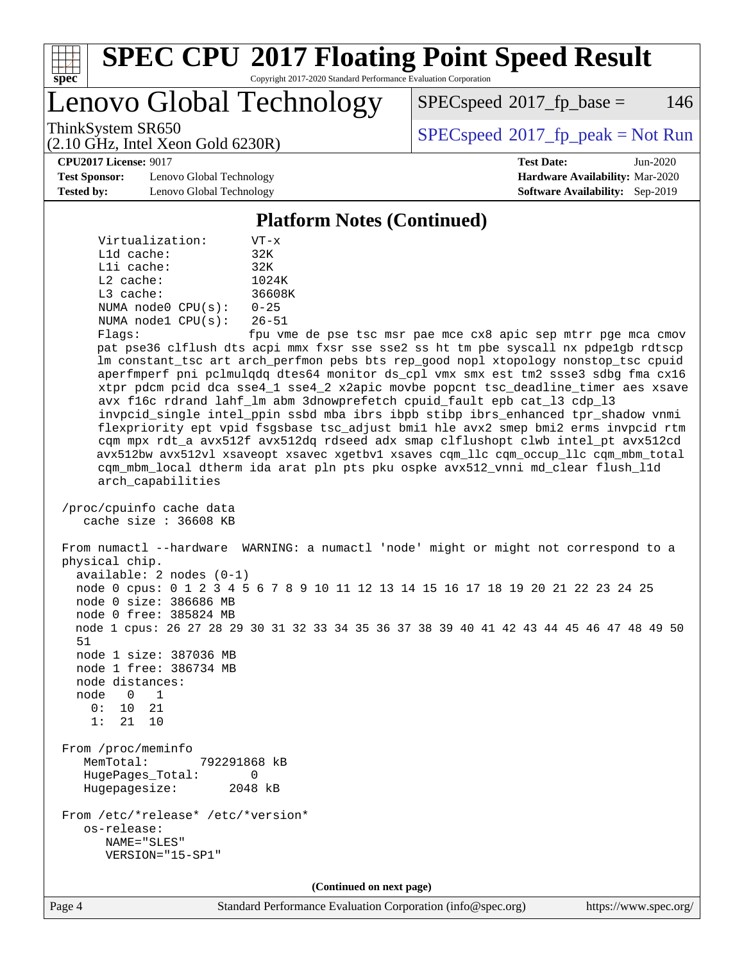

Lenovo Global Technology

 $SPEC speed^{\circ}2017\_fp\_base = 146$ 

(2.10 GHz, Intel Xeon Gold 6230R)

ThinkSystem SR650<br>  $SPEC speed^{\circ}2017$  [p\_peak = Not Run

**[CPU2017 License:](http://www.spec.org/auto/cpu2017/Docs/result-fields.html#CPU2017License)** 9017 **[Test Date:](http://www.spec.org/auto/cpu2017/Docs/result-fields.html#TestDate)** Jun-2020

**[Test Sponsor:](http://www.spec.org/auto/cpu2017/Docs/result-fields.html#TestSponsor)** Lenovo Global Technology **[Hardware Availability:](http://www.spec.org/auto/cpu2017/Docs/result-fields.html#HardwareAvailability)** Mar-2020 **[Tested by:](http://www.spec.org/auto/cpu2017/Docs/result-fields.html#Testedby)** Lenovo Global Technology **[Software Availability:](http://www.spec.org/auto/cpu2017/Docs/result-fields.html#SoftwareAvailability)** Sep-2019

#### **[Platform Notes \(Continued\)](http://www.spec.org/auto/cpu2017/Docs/result-fields.html#PlatformNotes)**

 Virtualization: VT-x L1d cache: 32K L1i cache: 32K L2 cache: 1024K L3 cache: 36608K NUMA node0 CPU(s): 0-25 NUMA node1 CPU(s): 26-51

Flags: fpu vme de pse tsc msr pae mce cx8 apic sep mtrr pge mca cmov pat pse36 clflush dts acpi mmx fxsr sse sse2 ss ht tm pbe syscall nx pdpe1gb rdtscp lm constant\_tsc art arch\_perfmon pebs bts rep\_good nopl xtopology nonstop\_tsc cpuid aperfmperf pni pclmulqdq dtes64 monitor ds\_cpl vmx smx est tm2 ssse3 sdbg fma cx16 xtpr pdcm pcid dca sse4\_1 sse4\_2 x2apic movbe popcnt tsc\_deadline\_timer aes xsave avx f16c rdrand lahf\_lm abm 3dnowprefetch cpuid\_fault epb cat\_l3 cdp\_l3 invpcid\_single intel\_ppin ssbd mba ibrs ibpb stibp ibrs\_enhanced tpr\_shadow vnmi flexpriority ept vpid fsgsbase tsc\_adjust bmi1 hle avx2 smep bmi2 erms invpcid rtm cqm mpx rdt\_a avx512f avx512dq rdseed adx smap clflushopt clwb intel\_pt avx512cd avx512bw avx512vl xsaveopt xsavec xgetbv1 xsaves cqm\_llc cqm\_occup\_llc cqm\_mbm\_total cqm\_mbm\_local dtherm ida arat pln pts pku ospke avx512\_vnni md\_clear flush\_l1d arch\_capabilities

 /proc/cpuinfo cache data cache size : 36608 KB

 From numactl --hardware WARNING: a numactl 'node' might or might not correspond to a physical chip. available: 2 nodes (0-1) node 0 cpus: 0 1 2 3 4 5 6 7 8 9 10 11 12 13 14 15 16 17 18 19 20 21 22 23 24 25 node 0 size: 386686 MB

node 0 free: 385824 MB

 node 1 cpus: 26 27 28 29 30 31 32 33 34 35 36 37 38 39 40 41 42 43 44 45 46 47 48 49 50 51 node 1 size: 387036 MB

 node 1 free: 386734 MB node distances:

 node 0 1 0: 10 21

1: 21 10

 From /proc/meminfo MemTotal: 792291868 kB HugePages\_Total: 0 Hugepagesize: 2048 kB

 From /etc/\*release\* /etc/\*version\* os-release: NAME="SLES" VERSION="15-SP1"

**(Continued on next page)**

Page 4 Standard Performance Evaluation Corporation [\(info@spec.org\)](mailto:info@spec.org) <https://www.spec.org/>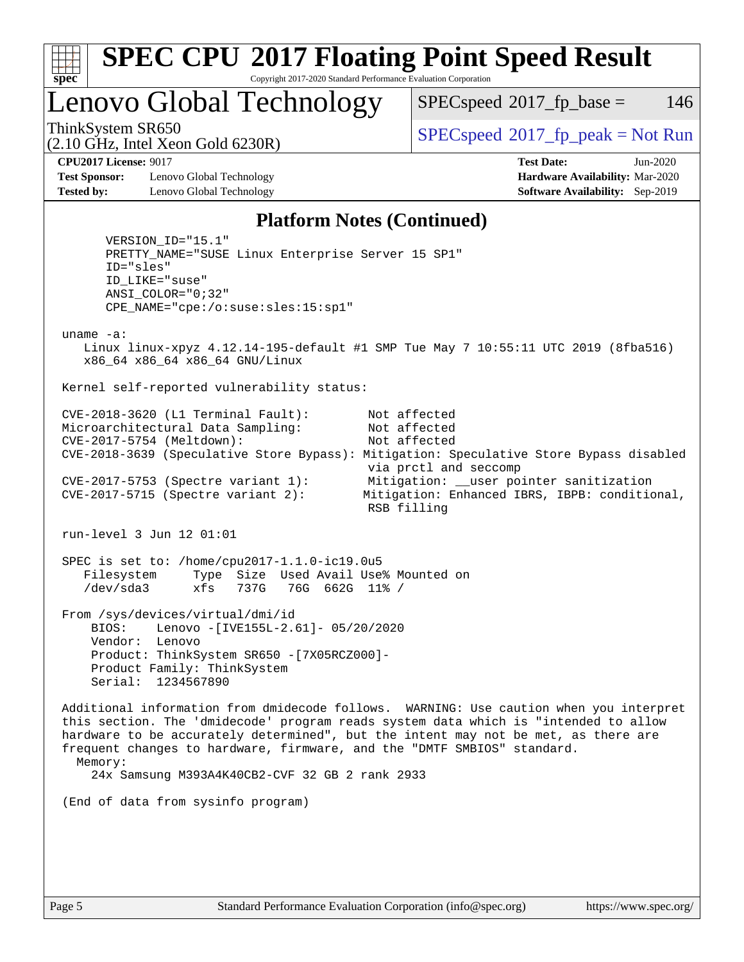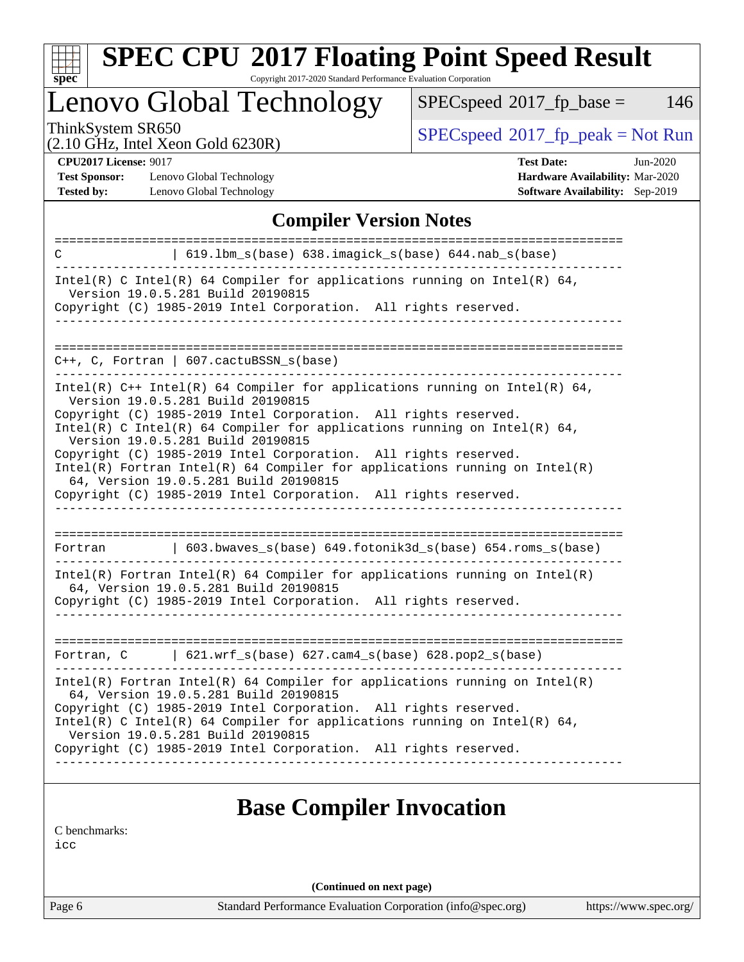

# **[SPEC CPU](http://www.spec.org/auto/cpu2017/Docs/result-fields.html#SPECCPU2017FloatingPointSpeedResult)[2017 Floating Point Speed Result](http://www.spec.org/auto/cpu2017/Docs/result-fields.html#SPECCPU2017FloatingPointSpeedResult)**

Copyright 2017-2020 Standard Performance Evaluation Corporation

Lenovo Global Technology

 $SPECspeed^{\circledcirc}2017_fp\_base = 146$  $SPECspeed^{\circledcirc}2017_fp\_base = 146$ 

(2.10 GHz, Intel Xeon Gold 6230R)

ThinkSystem SR650<br>  $(2.10 \text{ GHz} \text{ Intel } X_{\text{eon}} \text{ Gold } 6230R)$  [SPECspeed](http://www.spec.org/auto/cpu2017/Docs/result-fields.html#SPECspeed2017fppeak)<sup>®</sup>[2017\\_fp\\_peak = N](http://www.spec.org/auto/cpu2017/Docs/result-fields.html#SPECspeed2017fppeak)ot Run

**[CPU2017 License:](http://www.spec.org/auto/cpu2017/Docs/result-fields.html#CPU2017License)** 9017

**[Test Sponsor:](http://www.spec.org/auto/cpu2017/Docs/result-fields.html#TestSponsor)** Lenovo Global Technology **[Tested by:](http://www.spec.org/auto/cpu2017/Docs/result-fields.html#Testedby)** Lenovo Global Technology **[Software Availability:](http://www.spec.org/auto/cpu2017/Docs/result-fields.html#SoftwareAvailability)** Sep-2019

|  | <b>Test Date:</b>                      |  |  | Jun-2020 |
|--|----------------------------------------|--|--|----------|
|  | <b>Hardware Availability: Mar-2020</b> |  |  |          |
|  |                                        |  |  |          |

#### **[Compiler Version Notes](http://www.spec.org/auto/cpu2017/Docs/result-fields.html#CompilerVersionNotes)**

| C          | 619.1bm_s(base) 638.imagick_s(base) 644.nab_s(base)<br>----------------                                                                                                                                                                                                                                                                                                                                                                                                                                                                                                |
|------------|------------------------------------------------------------------------------------------------------------------------------------------------------------------------------------------------------------------------------------------------------------------------------------------------------------------------------------------------------------------------------------------------------------------------------------------------------------------------------------------------------------------------------------------------------------------------|
|            | Intel(R) C Intel(R) 64 Compiler for applications running on Intel(R) 64,<br>Version 19.0.5.281 Build 20190815<br>Copyright (C) 1985-2019 Intel Corporation. All rights reserved.                                                                                                                                                                                                                                                                                                                                                                                       |
|            | $C_{++}$ , C, Fortran   607.cactuBSSN_s(base)                                                                                                                                                                                                                                                                                                                                                                                                                                                                                                                          |
|            | Intel(R) $C++$ Intel(R) 64 Compiler for applications running on Intel(R) 64,<br>Version 19.0.5.281 Build 20190815<br>Copyright (C) 1985-2019 Intel Corporation. All rights reserved.<br>$Intel(R)$ C Intel(R) 64 Compiler for applications running on Intel(R) 64,<br>Version 19.0.5.281 Build 20190815<br>Copyright (C) 1985-2019 Intel Corporation. All rights reserved.<br>$Intel(R)$ Fortran Intel(R) 64 Compiler for applications running on Intel(R)<br>64, Version 19.0.5.281 Build 20190815<br>Copyright (C) 1985-2019 Intel Corporation. All rights reserved. |
| Fortran    | 603.bwaves_s(base) 649.fotonik3d_s(base) 654.roms_s(base)                                                                                                                                                                                                                                                                                                                                                                                                                                                                                                              |
|            | $Intel(R)$ Fortran Intel(R) 64 Compiler for applications running on Intel(R)<br>64, Version 19.0.5.281 Build 20190815<br>Copyright (C) 1985-2019 Intel Corporation. All rights reserved.                                                                                                                                                                                                                                                                                                                                                                               |
| Fortran, C | $\vert$ 621.wrf_s(base) 627.cam4_s(base) 628.pop2_s(base)                                                                                                                                                                                                                                                                                                                                                                                                                                                                                                              |
|            | $Intel(R)$ Fortran Intel(R) 64 Compiler for applications running on Intel(R)<br>64, Version 19.0.5.281 Build 20190815<br>Copyright (C) 1985-2019 Intel Corporation. All rights reserved.<br>Intel(R) C Intel(R) 64 Compiler for applications running on Intel(R) 64,<br>Version 19.0.5.281 Build 20190815<br>Copyright (C) 1985-2019 Intel Corporation. All rights reserved.                                                                                                                                                                                           |

[C benchmarks](http://www.spec.org/auto/cpu2017/Docs/result-fields.html#Cbenchmarks):

[icc](http://www.spec.org/cpu2017/results/res2020q3/cpu2017-20200622-23203.flags.html#user_CCbase_intel_icc_66fc1ee009f7361af1fbd72ca7dcefbb700085f36577c54f309893dd4ec40d12360134090235512931783d35fd58c0460139e722d5067c5574d8eaf2b3e37e92)

**(Continued on next page)**

Page 6 Standard Performance Evaluation Corporation [\(info@spec.org\)](mailto:info@spec.org) <https://www.spec.org/>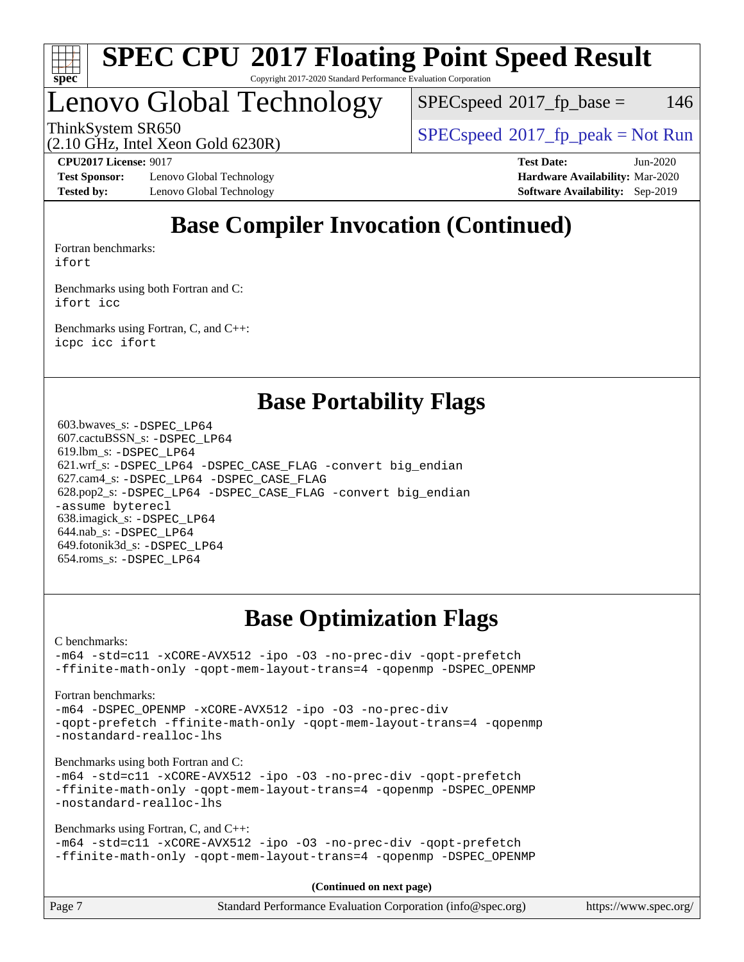

# Lenovo Global Technology

 $SPEC speed^{\circ}2017\_fp\_base = 146$ 

ThinkSystem SR650<br>  $SPEC speed^{\circ}2017$  [p\_peak = Not Run

(2.10 GHz, Intel Xeon Gold 6230R)

**[Test Sponsor:](http://www.spec.org/auto/cpu2017/Docs/result-fields.html#TestSponsor)** Lenovo Global Technology **[Hardware Availability:](http://www.spec.org/auto/cpu2017/Docs/result-fields.html#HardwareAvailability)** Mar-2020 **[Tested by:](http://www.spec.org/auto/cpu2017/Docs/result-fields.html#Testedby)** Lenovo Global Technology **[Software Availability:](http://www.spec.org/auto/cpu2017/Docs/result-fields.html#SoftwareAvailability)** Sep-2019

**[CPU2017 License:](http://www.spec.org/auto/cpu2017/Docs/result-fields.html#CPU2017License)** 9017 **[Test Date:](http://www.spec.org/auto/cpu2017/Docs/result-fields.html#TestDate)** Jun-2020

# **[Base Compiler Invocation \(Continued\)](http://www.spec.org/auto/cpu2017/Docs/result-fields.html#BaseCompilerInvocation)**

[Fortran benchmarks](http://www.spec.org/auto/cpu2017/Docs/result-fields.html#Fortranbenchmarks): [ifort](http://www.spec.org/cpu2017/results/res2020q3/cpu2017-20200622-23203.flags.html#user_FCbase_intel_ifort_8111460550e3ca792625aed983ce982f94888b8b503583aa7ba2b8303487b4d8a21a13e7191a45c5fd58ff318f48f9492884d4413fa793fd88dd292cad7027ca)

[Benchmarks using both Fortran and C](http://www.spec.org/auto/cpu2017/Docs/result-fields.html#BenchmarksusingbothFortranandC): [ifort](http://www.spec.org/cpu2017/results/res2020q3/cpu2017-20200622-23203.flags.html#user_CC_FCbase_intel_ifort_8111460550e3ca792625aed983ce982f94888b8b503583aa7ba2b8303487b4d8a21a13e7191a45c5fd58ff318f48f9492884d4413fa793fd88dd292cad7027ca) [icc](http://www.spec.org/cpu2017/results/res2020q3/cpu2017-20200622-23203.flags.html#user_CC_FCbase_intel_icc_66fc1ee009f7361af1fbd72ca7dcefbb700085f36577c54f309893dd4ec40d12360134090235512931783d35fd58c0460139e722d5067c5574d8eaf2b3e37e92)

[Benchmarks using Fortran, C, and C++:](http://www.spec.org/auto/cpu2017/Docs/result-fields.html#BenchmarksusingFortranCandCXX) [icpc](http://www.spec.org/cpu2017/results/res2020q3/cpu2017-20200622-23203.flags.html#user_CC_CXX_FCbase_intel_icpc_c510b6838c7f56d33e37e94d029a35b4a7bccf4766a728ee175e80a419847e808290a9b78be685c44ab727ea267ec2f070ec5dc83b407c0218cded6866a35d07) [icc](http://www.spec.org/cpu2017/results/res2020q3/cpu2017-20200622-23203.flags.html#user_CC_CXX_FCbase_intel_icc_66fc1ee009f7361af1fbd72ca7dcefbb700085f36577c54f309893dd4ec40d12360134090235512931783d35fd58c0460139e722d5067c5574d8eaf2b3e37e92) [ifort](http://www.spec.org/cpu2017/results/res2020q3/cpu2017-20200622-23203.flags.html#user_CC_CXX_FCbase_intel_ifort_8111460550e3ca792625aed983ce982f94888b8b503583aa7ba2b8303487b4d8a21a13e7191a45c5fd58ff318f48f9492884d4413fa793fd88dd292cad7027ca)

## **[Base Portability Flags](http://www.spec.org/auto/cpu2017/Docs/result-fields.html#BasePortabilityFlags)**

 603.bwaves\_s: [-DSPEC\\_LP64](http://www.spec.org/cpu2017/results/res2020q3/cpu2017-20200622-23203.flags.html#suite_basePORTABILITY603_bwaves_s_DSPEC_LP64) 607.cactuBSSN\_s: [-DSPEC\\_LP64](http://www.spec.org/cpu2017/results/res2020q3/cpu2017-20200622-23203.flags.html#suite_basePORTABILITY607_cactuBSSN_s_DSPEC_LP64) 619.lbm\_s: [-DSPEC\\_LP64](http://www.spec.org/cpu2017/results/res2020q3/cpu2017-20200622-23203.flags.html#suite_basePORTABILITY619_lbm_s_DSPEC_LP64) 621.wrf\_s: [-DSPEC\\_LP64](http://www.spec.org/cpu2017/results/res2020q3/cpu2017-20200622-23203.flags.html#suite_basePORTABILITY621_wrf_s_DSPEC_LP64) [-DSPEC\\_CASE\\_FLAG](http://www.spec.org/cpu2017/results/res2020q3/cpu2017-20200622-23203.flags.html#b621.wrf_s_baseCPORTABILITY_DSPEC_CASE_FLAG) [-convert big\\_endian](http://www.spec.org/cpu2017/results/res2020q3/cpu2017-20200622-23203.flags.html#user_baseFPORTABILITY621_wrf_s_convert_big_endian_c3194028bc08c63ac5d04de18c48ce6d347e4e562e8892b8bdbdc0214820426deb8554edfa529a3fb25a586e65a3d812c835984020483e7e73212c4d31a38223) 627.cam4\_s: [-DSPEC\\_LP64](http://www.spec.org/cpu2017/results/res2020q3/cpu2017-20200622-23203.flags.html#suite_basePORTABILITY627_cam4_s_DSPEC_LP64) [-DSPEC\\_CASE\\_FLAG](http://www.spec.org/cpu2017/results/res2020q3/cpu2017-20200622-23203.flags.html#b627.cam4_s_baseCPORTABILITY_DSPEC_CASE_FLAG) 628.pop2\_s: [-DSPEC\\_LP64](http://www.spec.org/cpu2017/results/res2020q3/cpu2017-20200622-23203.flags.html#suite_basePORTABILITY628_pop2_s_DSPEC_LP64) [-DSPEC\\_CASE\\_FLAG](http://www.spec.org/cpu2017/results/res2020q3/cpu2017-20200622-23203.flags.html#b628.pop2_s_baseCPORTABILITY_DSPEC_CASE_FLAG) [-convert big\\_endian](http://www.spec.org/cpu2017/results/res2020q3/cpu2017-20200622-23203.flags.html#user_baseFPORTABILITY628_pop2_s_convert_big_endian_c3194028bc08c63ac5d04de18c48ce6d347e4e562e8892b8bdbdc0214820426deb8554edfa529a3fb25a586e65a3d812c835984020483e7e73212c4d31a38223) [-assume byterecl](http://www.spec.org/cpu2017/results/res2020q3/cpu2017-20200622-23203.flags.html#user_baseFPORTABILITY628_pop2_s_assume_byterecl_7e47d18b9513cf18525430bbf0f2177aa9bf368bc7a059c09b2c06a34b53bd3447c950d3f8d6c70e3faf3a05c8557d66a5798b567902e8849adc142926523472) 638.imagick\_s: [-DSPEC\\_LP64](http://www.spec.org/cpu2017/results/res2020q3/cpu2017-20200622-23203.flags.html#suite_basePORTABILITY638_imagick_s_DSPEC_LP64) 644.nab\_s: [-DSPEC\\_LP64](http://www.spec.org/cpu2017/results/res2020q3/cpu2017-20200622-23203.flags.html#suite_basePORTABILITY644_nab_s_DSPEC_LP64) 649.fotonik3d\_s: [-DSPEC\\_LP64](http://www.spec.org/cpu2017/results/res2020q3/cpu2017-20200622-23203.flags.html#suite_basePORTABILITY649_fotonik3d_s_DSPEC_LP64) 654.roms\_s: [-DSPEC\\_LP64](http://www.spec.org/cpu2017/results/res2020q3/cpu2017-20200622-23203.flags.html#suite_basePORTABILITY654_roms_s_DSPEC_LP64)

# **[Base Optimization Flags](http://www.spec.org/auto/cpu2017/Docs/result-fields.html#BaseOptimizationFlags)**

[C benchmarks](http://www.spec.org/auto/cpu2017/Docs/result-fields.html#Cbenchmarks):

[-m64](http://www.spec.org/cpu2017/results/res2020q3/cpu2017-20200622-23203.flags.html#user_CCbase_m64-icc) [-std=c11](http://www.spec.org/cpu2017/results/res2020q3/cpu2017-20200622-23203.flags.html#user_CCbase_std-icc-std_0e1c27790398a4642dfca32ffe6c27b5796f9c2d2676156f2e42c9c44eaad0c049b1cdb667a270c34d979996257aeb8fc440bfb01818dbc9357bd9d174cb8524) [-xCORE-AVX512](http://www.spec.org/cpu2017/results/res2020q3/cpu2017-20200622-23203.flags.html#user_CCbase_f-xCORE-AVX512) [-ipo](http://www.spec.org/cpu2017/results/res2020q3/cpu2017-20200622-23203.flags.html#user_CCbase_f-ipo) [-O3](http://www.spec.org/cpu2017/results/res2020q3/cpu2017-20200622-23203.flags.html#user_CCbase_f-O3) [-no-prec-div](http://www.spec.org/cpu2017/results/res2020q3/cpu2017-20200622-23203.flags.html#user_CCbase_f-no-prec-div) [-qopt-prefetch](http://www.spec.org/cpu2017/results/res2020q3/cpu2017-20200622-23203.flags.html#user_CCbase_f-qopt-prefetch) [-ffinite-math-only](http://www.spec.org/cpu2017/results/res2020q3/cpu2017-20200622-23203.flags.html#user_CCbase_f_finite_math_only_cb91587bd2077682c4b38af759c288ed7c732db004271a9512da14a4f8007909a5f1427ecbf1a0fb78ff2a814402c6114ac565ca162485bbcae155b5e4258871) [-qopt-mem-layout-trans=4](http://www.spec.org/cpu2017/results/res2020q3/cpu2017-20200622-23203.flags.html#user_CCbase_f-qopt-mem-layout-trans_fa39e755916c150a61361b7846f310bcdf6f04e385ef281cadf3647acec3f0ae266d1a1d22d972a7087a248fd4e6ca390a3634700869573d231a252c784941a8) [-qopenmp](http://www.spec.org/cpu2017/results/res2020q3/cpu2017-20200622-23203.flags.html#user_CCbase_qopenmp_16be0c44f24f464004c6784a7acb94aca937f053568ce72f94b139a11c7c168634a55f6653758ddd83bcf7b8463e8028bb0b48b77bcddc6b78d5d95bb1df2967) [-DSPEC\\_OPENMP](http://www.spec.org/cpu2017/results/res2020q3/cpu2017-20200622-23203.flags.html#suite_CCbase_DSPEC_OPENMP)

#### [Fortran benchmarks](http://www.spec.org/auto/cpu2017/Docs/result-fields.html#Fortranbenchmarks):

[-m64](http://www.spec.org/cpu2017/results/res2020q3/cpu2017-20200622-23203.flags.html#user_FCbase_m64-icc) [-DSPEC\\_OPENMP](http://www.spec.org/cpu2017/results/res2020q3/cpu2017-20200622-23203.flags.html#suite_FCbase_DSPEC_OPENMP) [-xCORE-AVX512](http://www.spec.org/cpu2017/results/res2020q3/cpu2017-20200622-23203.flags.html#user_FCbase_f-xCORE-AVX512) [-ipo](http://www.spec.org/cpu2017/results/res2020q3/cpu2017-20200622-23203.flags.html#user_FCbase_f-ipo) [-O3](http://www.spec.org/cpu2017/results/res2020q3/cpu2017-20200622-23203.flags.html#user_FCbase_f-O3) [-no-prec-div](http://www.spec.org/cpu2017/results/res2020q3/cpu2017-20200622-23203.flags.html#user_FCbase_f-no-prec-div) [-qopt-prefetch](http://www.spec.org/cpu2017/results/res2020q3/cpu2017-20200622-23203.flags.html#user_FCbase_f-qopt-prefetch) [-ffinite-math-only](http://www.spec.org/cpu2017/results/res2020q3/cpu2017-20200622-23203.flags.html#user_FCbase_f_finite_math_only_cb91587bd2077682c4b38af759c288ed7c732db004271a9512da14a4f8007909a5f1427ecbf1a0fb78ff2a814402c6114ac565ca162485bbcae155b5e4258871) [-qopt-mem-layout-trans=4](http://www.spec.org/cpu2017/results/res2020q3/cpu2017-20200622-23203.flags.html#user_FCbase_f-qopt-mem-layout-trans_fa39e755916c150a61361b7846f310bcdf6f04e385ef281cadf3647acec3f0ae266d1a1d22d972a7087a248fd4e6ca390a3634700869573d231a252c784941a8) [-qopenmp](http://www.spec.org/cpu2017/results/res2020q3/cpu2017-20200622-23203.flags.html#user_FCbase_qopenmp_16be0c44f24f464004c6784a7acb94aca937f053568ce72f94b139a11c7c168634a55f6653758ddd83bcf7b8463e8028bb0b48b77bcddc6b78d5d95bb1df2967) [-nostandard-realloc-lhs](http://www.spec.org/cpu2017/results/res2020q3/cpu2017-20200622-23203.flags.html#user_FCbase_f_2003_std_realloc_82b4557e90729c0f113870c07e44d33d6f5a304b4f63d4c15d2d0f1fab99f5daaed73bdb9275d9ae411527f28b936061aa8b9c8f2d63842963b95c9dd6426b8a)

[Benchmarks using both Fortran and C](http://www.spec.org/auto/cpu2017/Docs/result-fields.html#BenchmarksusingbothFortranandC):

[-m64](http://www.spec.org/cpu2017/results/res2020q3/cpu2017-20200622-23203.flags.html#user_CC_FCbase_m64-icc) [-std=c11](http://www.spec.org/cpu2017/results/res2020q3/cpu2017-20200622-23203.flags.html#user_CC_FCbase_std-icc-std_0e1c27790398a4642dfca32ffe6c27b5796f9c2d2676156f2e42c9c44eaad0c049b1cdb667a270c34d979996257aeb8fc440bfb01818dbc9357bd9d174cb8524) [-xCORE-AVX512](http://www.spec.org/cpu2017/results/res2020q3/cpu2017-20200622-23203.flags.html#user_CC_FCbase_f-xCORE-AVX512) [-ipo](http://www.spec.org/cpu2017/results/res2020q3/cpu2017-20200622-23203.flags.html#user_CC_FCbase_f-ipo) [-O3](http://www.spec.org/cpu2017/results/res2020q3/cpu2017-20200622-23203.flags.html#user_CC_FCbase_f-O3) [-no-prec-div](http://www.spec.org/cpu2017/results/res2020q3/cpu2017-20200622-23203.flags.html#user_CC_FCbase_f-no-prec-div) [-qopt-prefetch](http://www.spec.org/cpu2017/results/res2020q3/cpu2017-20200622-23203.flags.html#user_CC_FCbase_f-qopt-prefetch) [-ffinite-math-only](http://www.spec.org/cpu2017/results/res2020q3/cpu2017-20200622-23203.flags.html#user_CC_FCbase_f_finite_math_only_cb91587bd2077682c4b38af759c288ed7c732db004271a9512da14a4f8007909a5f1427ecbf1a0fb78ff2a814402c6114ac565ca162485bbcae155b5e4258871) [-qopt-mem-layout-trans=4](http://www.spec.org/cpu2017/results/res2020q3/cpu2017-20200622-23203.flags.html#user_CC_FCbase_f-qopt-mem-layout-trans_fa39e755916c150a61361b7846f310bcdf6f04e385ef281cadf3647acec3f0ae266d1a1d22d972a7087a248fd4e6ca390a3634700869573d231a252c784941a8) [-qopenmp](http://www.spec.org/cpu2017/results/res2020q3/cpu2017-20200622-23203.flags.html#user_CC_FCbase_qopenmp_16be0c44f24f464004c6784a7acb94aca937f053568ce72f94b139a11c7c168634a55f6653758ddd83bcf7b8463e8028bb0b48b77bcddc6b78d5d95bb1df2967) [-DSPEC\\_OPENMP](http://www.spec.org/cpu2017/results/res2020q3/cpu2017-20200622-23203.flags.html#suite_CC_FCbase_DSPEC_OPENMP) [-nostandard-realloc-lhs](http://www.spec.org/cpu2017/results/res2020q3/cpu2017-20200622-23203.flags.html#user_CC_FCbase_f_2003_std_realloc_82b4557e90729c0f113870c07e44d33d6f5a304b4f63d4c15d2d0f1fab99f5daaed73bdb9275d9ae411527f28b936061aa8b9c8f2d63842963b95c9dd6426b8a)

[Benchmarks using Fortran, C, and C++:](http://www.spec.org/auto/cpu2017/Docs/result-fields.html#BenchmarksusingFortranCandCXX)

[-m64](http://www.spec.org/cpu2017/results/res2020q3/cpu2017-20200622-23203.flags.html#user_CC_CXX_FCbase_m64-icc) [-std=c11](http://www.spec.org/cpu2017/results/res2020q3/cpu2017-20200622-23203.flags.html#user_CC_CXX_FCbase_std-icc-std_0e1c27790398a4642dfca32ffe6c27b5796f9c2d2676156f2e42c9c44eaad0c049b1cdb667a270c34d979996257aeb8fc440bfb01818dbc9357bd9d174cb8524) [-xCORE-AVX512](http://www.spec.org/cpu2017/results/res2020q3/cpu2017-20200622-23203.flags.html#user_CC_CXX_FCbase_f-xCORE-AVX512) [-ipo](http://www.spec.org/cpu2017/results/res2020q3/cpu2017-20200622-23203.flags.html#user_CC_CXX_FCbase_f-ipo) [-O3](http://www.spec.org/cpu2017/results/res2020q3/cpu2017-20200622-23203.flags.html#user_CC_CXX_FCbase_f-O3) [-no-prec-div](http://www.spec.org/cpu2017/results/res2020q3/cpu2017-20200622-23203.flags.html#user_CC_CXX_FCbase_f-no-prec-div) [-qopt-prefetch](http://www.spec.org/cpu2017/results/res2020q3/cpu2017-20200622-23203.flags.html#user_CC_CXX_FCbase_f-qopt-prefetch) [-ffinite-math-only](http://www.spec.org/cpu2017/results/res2020q3/cpu2017-20200622-23203.flags.html#user_CC_CXX_FCbase_f_finite_math_only_cb91587bd2077682c4b38af759c288ed7c732db004271a9512da14a4f8007909a5f1427ecbf1a0fb78ff2a814402c6114ac565ca162485bbcae155b5e4258871) [-qopt-mem-layout-trans=4](http://www.spec.org/cpu2017/results/res2020q3/cpu2017-20200622-23203.flags.html#user_CC_CXX_FCbase_f-qopt-mem-layout-trans_fa39e755916c150a61361b7846f310bcdf6f04e385ef281cadf3647acec3f0ae266d1a1d22d972a7087a248fd4e6ca390a3634700869573d231a252c784941a8) [-qopenmp](http://www.spec.org/cpu2017/results/res2020q3/cpu2017-20200622-23203.flags.html#user_CC_CXX_FCbase_qopenmp_16be0c44f24f464004c6784a7acb94aca937f053568ce72f94b139a11c7c168634a55f6653758ddd83bcf7b8463e8028bb0b48b77bcddc6b78d5d95bb1df2967) [-DSPEC\\_OPENMP](http://www.spec.org/cpu2017/results/res2020q3/cpu2017-20200622-23203.flags.html#suite_CC_CXX_FCbase_DSPEC_OPENMP)

**(Continued on next page)**

| Page 7 | Standard Performance Evaluation Corporation (info@spec.org) | https://www.spec.org/ |
|--------|-------------------------------------------------------------|-----------------------|
|--------|-------------------------------------------------------------|-----------------------|